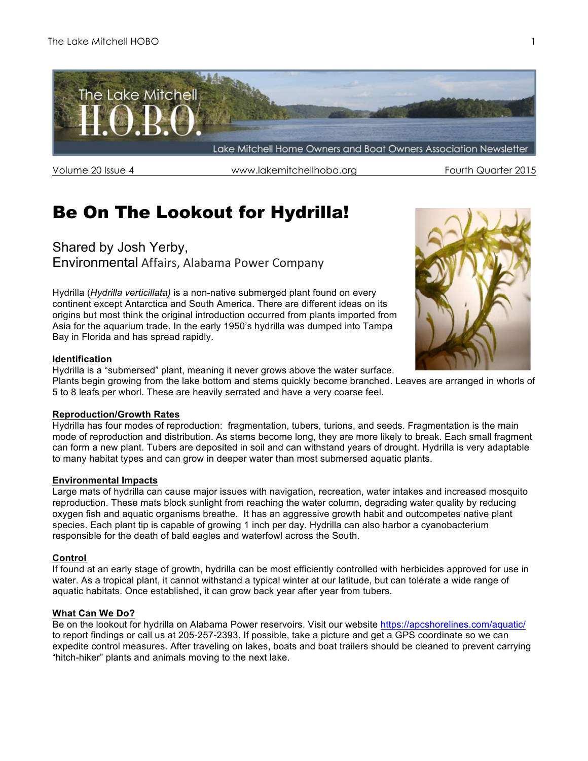

Volume 20 Issue 4 www.lakemitchellhobo.org Fourth Quarter 2015

# Be On The Lookout for Hydrilla!

Shared by Josh Yerby, Environmental Affairs, Alabama Power Company

Hydrilla (*Hydrilla verticillata)* is a non-native submerged plant found on every continent except Antarctica and South America. There are different ideas on its origins but most think the original introduction occurred from plants imported from Asia for the aquarium trade. In the early 1950's hydrilla was dumped into Tampa Bay in Florida and has spread rapidly.

#### **Identification**

Hydrilla is a "submersed" plant, meaning it never grows above the water surface. Plants begin growing from the lake bottom and stems quickly become branched. Leaves are arranged in whorls of 5 to 8 leafs per whorl. These are heavily serrated and have a very coarse feel.

#### **Reproduction/Growth Rates**

Hydrilla has four modes of reproduction: fragmentation, tubers, turions, and seeds. Fragmentation is the main mode of reproduction and distribution. As stems become long, they are more likely to break. Each small fragment can form a new plant. Tubers are deposited in soil and can withstand years of drought. Hydrilla is very adaptable to many habitat types and can grow in deeper water than most submersed aquatic plants.

#### **Environmental Impacts**

Large mats of hydrilla can cause major issues with navigation, recreation, water intakes and increased mosquito reproduction. These mats block sunlight from reaching the water column, degrading water quality by reducing oxygen fish and aquatic organisms breathe. It has an aggressive growth habit and outcompetes native plant species. Each plant tip is capable of growing 1 inch per day. Hydrilla can also harbor a cyanobacterium responsible for the death of bald eagles and waterfowl across the South.

#### **Control**

If found at an early stage of growth, hydrilla can be most efficiently controlled with herbicides approved for use in water. As a tropical plant, it cannot withstand a typical winter at our latitude, but can tolerate a wide range of aquatic habitats. Once established, it can grow back year after year from tubers.

#### **What Can We Do?**

Be on the lookout for hydrilla on Alabama Power reservoirs. Visit our website https://apcshorelines.com/aquatic/ to report findings or call us at 205-257-2393. If possible, take a picture and get a GPS coordinate so we can expedite control measures. After traveling on lakes, boats and boat trailers should be cleaned to prevent carrying "hitch-hiker" plants and animals moving to the next lake.

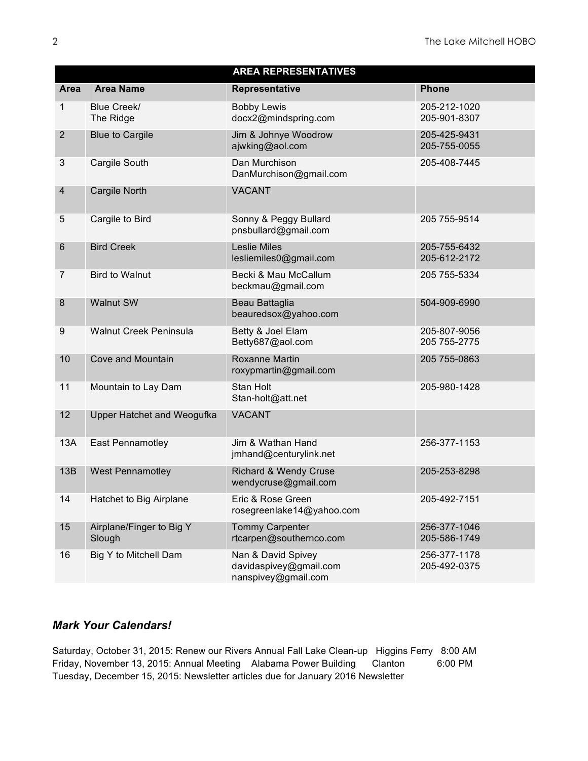|                |                                    | <b>AREA REPRESENTATIVES</b>                                         |                              |
|----------------|------------------------------------|---------------------------------------------------------------------|------------------------------|
| <b>Area</b>    | <b>Area Name</b>                   | Representative                                                      | <b>Phone</b>                 |
| 1              | Blue Creek/<br>The Ridge           | <b>Bobby Lewis</b><br>docx2@mindspring.com                          | 205-212-1020<br>205-901-8307 |
| $\overline{2}$ | <b>Blue to Cargile</b>             | Jim & Johnye Woodrow<br>ajwking@aol.com                             | 205-425-9431<br>205-755-0055 |
| 3              | Cargile South                      | Dan Murchison<br>DanMurchison@gmail.com                             | 205-408-7445                 |
| $\overline{4}$ | Cargile North                      | <b>VACANT</b>                                                       |                              |
| 5              | Cargile to Bird                    | Sonny & Peggy Bullard<br>pnsbullard@gmail.com                       | 205 755-9514                 |
| 6              | <b>Bird Creek</b>                  | <b>Leslie Miles</b><br>lesliemiles0@gmail.com                       | 205-755-6432<br>205-612-2172 |
| $\overline{7}$ | <b>Bird to Walnut</b>              | Becki & Mau McCallum<br>beckmau@gmail.com                           | 205 755-5334                 |
| 8              | <b>Walnut SW</b>                   | Beau Battaglia<br>beauredsox@yahoo.com                              | 504-909-6990                 |
| 9              | <b>Walnut Creek Peninsula</b>      | Betty & Joel Elam<br>Betty687@aol.com                               | 205-807-9056<br>205 755-2775 |
| 10             | Cove and Mountain                  | <b>Roxanne Martin</b><br>roxypmartin@gmail.com                      | 205 755-0863                 |
| 11             | Mountain to Lay Dam                | Stan Holt<br>Stan-holt@att.net                                      | 205-980-1428                 |
| 12             | Upper Hatchet and Weogufka         | <b>VACANT</b>                                                       |                              |
| <b>13A</b>     | East Pennamotley                   | Jim & Wathan Hand<br>jmhand@centurylink.net                         | 256-377-1153                 |
| 13B            | <b>West Pennamotley</b>            | <b>Richard &amp; Wendy Cruse</b><br>wendycruse@gmail.com            | 205-253-8298                 |
| 14             | Hatchet to Big Airplane            | Eric & Rose Green<br>rosegreenlake14@yahoo.com                      | 205-492-7151                 |
| 15             | Airplane/Finger to Big Y<br>Slough | <b>Tommy Carpenter</b><br>rtcarpen@southernco.com                   | 256-377-1046<br>205-586-1749 |
| 16             | Big Y to Mitchell Dam              | Nan & David Spivey<br>davidaspivey@gmail.com<br>nanspivey@gmail.com | 256-377-1178<br>205-492-0375 |

## *Mark Your Calendars!*

Saturday, October 31, 2015: Renew our Rivers Annual Fall Lake Clean-up Higgins Ferry 8:00 AM Friday, November 13, 2015: Annual Meeting Alabama Power Building Clanton 6:00 PM Tuesday, December 15, 2015: Newsletter articles due for January 2016 Newsletter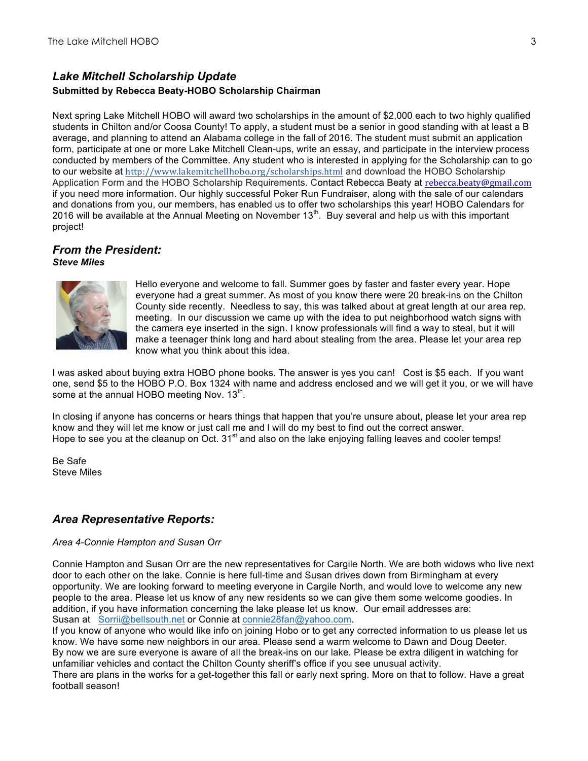## *Lake Mitchell Scholarship Update* **Submitted by Rebecca Beaty-HOBO Scholarship Chairman**

Next spring Lake Mitchell HOBO will award two scholarships in the amount of \$2,000 each to two highly qualified students in Chilton and/or Coosa County! To apply, a student must be a senior in good standing with at least a B average, and planning to attend an Alabama college in the fall of 2016. The student must submit an application form, participate at one or more Lake Mitchell Clean-ups, write an essay, and participate in the interview process conducted by members of the Committee. Any student who is interested in applying for the Scholarship can to go to our website at http://www.lakemitchellhobo.org/scholarships.html and download the HOBO Scholarship Application Form and the HOBO Scholarship Requirements. Contact Rebecca Beaty at rebecca.beaty@gmail.com if you need more information. Our highly successful Poker Run Fundraiser, along with the sale of our calendars and donations from you, our members, has enabled us to offer two scholarships this year! HOBO Calendars for 2016 will be available at the Annual Meeting on November 13<sup>th</sup>. Buy several and help us with this important project!

## *From the President:*

*Steve Miles*



Hello everyone and welcome to fall. Summer goes by faster and faster every year. Hope everyone had a great summer. As most of you know there were 20 break-ins on the Chilton County side recently. Needless to say, this was talked about at great length at our area rep. meeting. In our discussion we came up with the idea to put neighborhood watch signs with the camera eye inserted in the sign. I know professionals will find a way to steal, but it will make a teenager think long and hard about stealing from the area. Please let your area rep know what you think about this idea.

I was asked about buying extra HOBO phone books. The answer is yes you can! Cost is \$5 each. If you want one, send \$5 to the HOBO P.O. Box 1324 with name and address enclosed and we will get it you, or we will have some at the annual HOBO meeting Nov.  $13<sup>th</sup>$ .

In closing if anyone has concerns or hears things that happen that you're unsure about, please let your area rep know and they will let me know or just call me and l will do my best to find out the correct answer. Hope to see you at the cleanup on Oct. 31<sup>st</sup> and also on the lake enjoying falling leaves and cooler temps!

Be Safe Steve Miles

## *Area Representative Reports:*

#### *Area 4-Connie Hampton and Susan Orr*

Connie Hampton and Susan Orr are the new representatives for Cargile North. We are both widows who live next door to each other on the lake. Connie is here full-time and Susan drives down from Birmingham at every opportunity. We are looking forward to meeting everyone in Cargile North, and would love to welcome any new people to the area. Please let us know of any new residents so we can give them some welcome goodies. In addition, if you have information concerning the lake please let us know. Our email addresses are: Susan at Sorrii@bellsouth.net or Connie at connie28fan@yahoo.com.

If you know of anyone who would like info on joining Hobo or to get any corrected information to us please let us know. We have some new neighbors in our area. Please send a warm welcome to Dawn and Doug Deeter. By now we are sure everyone is aware of all the break-ins on our lake. Please be extra diligent in watching for unfamiliar vehicles and contact the Chilton County sheriff's office if you see unusual activity.

There are plans in the works for a get-together this fall or early next spring. More on that to follow. Have a great football season!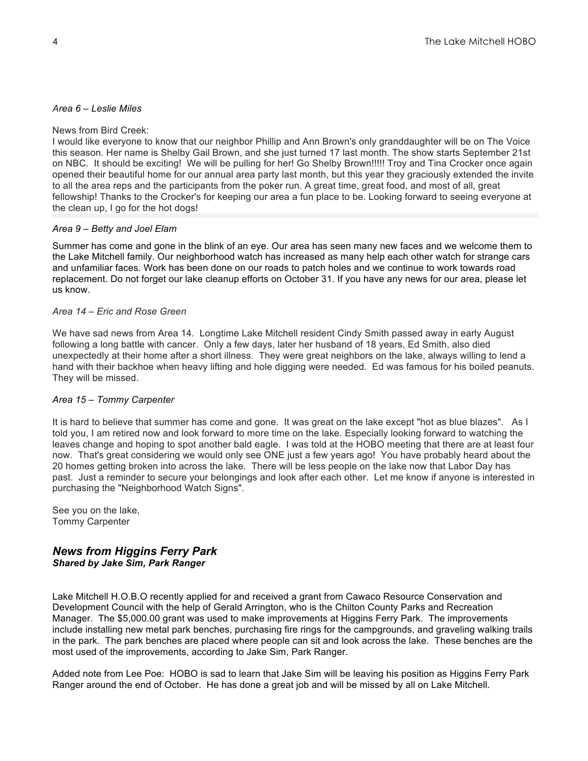#### *Area 6 – Leslie Miles*

#### News from Bird Creek:

I would like everyone to know that our neighbor Phillip and Ann Brown's only granddaughter will be on The Voice this season. Her name is Shelby Gail Brown, and she just turned 17 last month. The show starts September 21st on NBC. It should be exciting! We will be pulling for her! Go Shelby Brown!!!!! Troy and Tina Crocker once again opened their beautiful home for our annual area party last month, but this year they graciously extended the invite to all the area reps and the participants from the poker run. A great time, great food, and most of all, great fellowship! Thanks to the Crocker's for keeping our area a fun place to be. Looking forward to seeing everyone at the clean up, I go for the hot dogs!

#### *Area 9 – Betty and Joel Elam*

Summer has come and gone in the blink of an eye. Our area has seen many new faces and we welcome them to the Lake Mitchell family. Our neighborhood watch has increased as many help each other watch for strange cars and unfamiliar faces. Work has been done on our roads to patch holes and we continue to work towards road replacement. Do not forget our lake cleanup efforts on October 31. If you have any news for our area, please let us know.

#### *Area 14 – Eric and Rose Green*

We have sad news from Area 14. Longtime Lake Mitchell resident Cindy Smith passed away in early August following a long battle with cancer. Only a few days, later her husband of 18 years, Ed Smith, also died unexpectedly at their home after a short illness. They were great neighbors on the lake, always willing to lend a hand with their backhoe when heavy lifting and hole digging were needed. Ed was famous for his boiled peanuts. They will be missed.

#### *Area 15 – Tommy Carpenter*

It is hard to believe that summer has come and gone. It was great on the lake except "hot as blue blazes". As I told you, I am retired now and look forward to more time on the lake. Especially looking forward to watching the leaves change and hoping to spot another bald eagle. I was told at the HOBO meeting that there are at least four now. That's great considering we would only see ONE just a few years ago! You have probably heard about the 20 homes getting broken into across the lake. There will be less people on the lake now that Labor Day has past. Just a reminder to secure your belongings and look after each other. Let me know if anyone is interested in purchasing the "Neighborhood Watch Signs".

See you on the lake, Tommy Carpenter

#### *News from Higgins Ferry Park Shared by Jake Sim, Park Ranger*

Lake Mitchell H.O.B.O recently applied for and received a grant from Cawaco Resource Conservation and Development Council with the help of Gerald Arrington, who is the Chilton County Parks and Recreation Manager. The \$5,000.00 grant was used to make improvements at Higgins Ferry Park. The improvements include installing new metal park benches, purchasing fire rings for the campgrounds, and graveling walking trails in the park. The park benches are placed where people can sit and look across the lake. These benches are the most used of the improvements, according to Jake Sim, Park Ranger.

Added note from Lee Poe: HOBO is sad to learn that Jake Sim will be leaving his position as Higgins Ferry Park Ranger around the end of October. He has done a great job and will be missed by all on Lake Mitchell.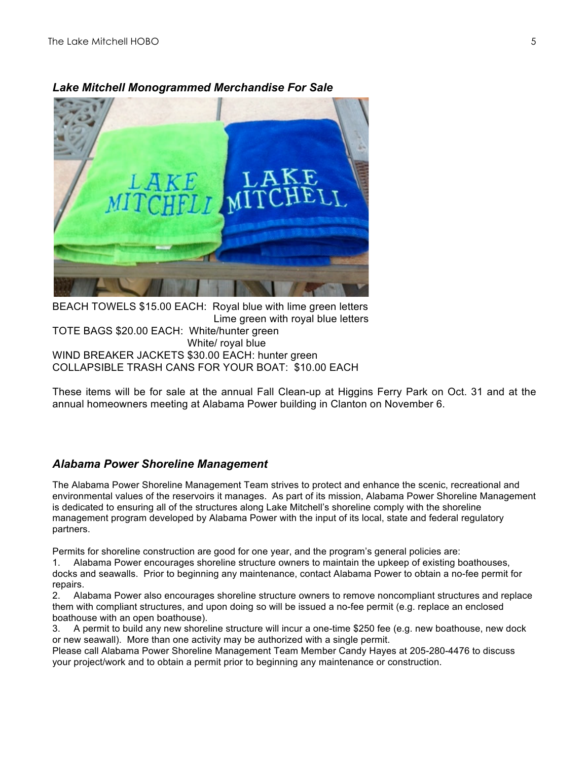*Lake Mitchell Monogrammed Merchandise For Sale*



BEACH TOWELS \$15.00 EACH: Royal blue with lime green letters Lime green with royal blue letters TOTE BAGS \$20.00 EACH: White/hunter green White/ royal blue WIND BREAKER JACKETS \$30.00 EACH: hunter green COLLAPSIBLE TRASH CANS FOR YOUR BOAT: \$10.00 EACH

These items will be for sale at the annual Fall Clean-up at Higgins Ferry Park on Oct. 31 and at the annual homeowners meeting at Alabama Power building in Clanton on November 6.

#### *Alabama Power Shoreline Management*

The Alabama Power Shoreline Management Team strives to protect and enhance the scenic, recreational and environmental values of the reservoirs it manages. As part of its mission, Alabama Power Shoreline Management is dedicated to ensuring all of the structures along Lake Mitchell's shoreline comply with the shoreline management program developed by Alabama Power with the input of its local, state and federal regulatory partners.

Permits for shoreline construction are good for one year, and the program's general policies are:

1. Alabama Power encourages shoreline structure owners to maintain the upkeep of existing boathouses, docks and seawalls. Prior to beginning any maintenance, contact Alabama Power to obtain a no-fee permit for repairs.

2. Alabama Power also encourages shoreline structure owners to remove noncompliant structures and replace them with compliant structures, and upon doing so will be issued a no-fee permit (e.g. replace an enclosed boathouse with an open boathouse).

3. A permit to build any new shoreline structure will incur a one-time \$250 fee (e.g. new boathouse, new dock or new seawall). More than one activity may be authorized with a single permit.

Please call Alabama Power Shoreline Management Team Member Candy Hayes at 205-280-4476 to discuss your project/work and to obtain a permit prior to beginning any maintenance or construction.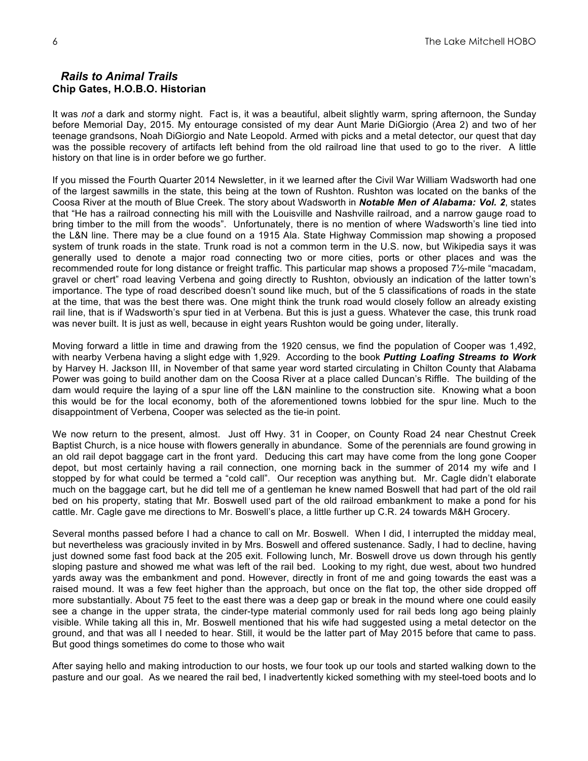### *Rails to Animal Trails* **Chip Gates, H.O.B.O. Historian**

It was *not* a dark and stormy night. Fact is, it was a beautiful, albeit slightly warm, spring afternoon, the Sunday before Memorial Day, 2015. My entourage consisted of my dear Aunt Marie DiGiorgio (Area 2) and two of her teenage grandsons, Noah DiGiorgio and Nate Leopold. Armed with picks and a metal detector, our quest that day was the possible recovery of artifacts left behind from the old railroad line that used to go to the river. A little history on that line is in order before we go further.

If you missed the Fourth Quarter 2014 Newsletter, in it we learned after the Civil War William Wadsworth had one of the largest sawmills in the state, this being at the town of Rushton. Rushton was located on the banks of the Coosa River at the mouth of Blue Creek. The story about Wadsworth in *Notable Men of Alabama: Vol. 2*, states that "He has a railroad connecting his mill with the Louisville and Nashville railroad, and a narrow gauge road to bring timber to the mill from the woods". Unfortunately, there is no mention of where Wadsworth's line tied into the L&N line. There may be a clue found on a 1915 Ala. State Highway Commission map showing a proposed system of trunk roads in the state. Trunk road is not a common term in the U.S. now, but Wikipedia says it was generally used to denote a major road connecting two or more cities, ports or other places and was the recommended route for long distance or freight traffic. This particular map shows a proposed 7½-mile "macadam, gravel or chert" road leaving Verbena and going directly to Rushton, obviously an indication of the latter town's importance. The type of road described doesn't sound like much, but of the 5 classifications of roads in the state at the time, that was the best there was. One might think the trunk road would closely follow an already existing rail line, that is if Wadsworth's spur tied in at Verbena. But this is just a guess. Whatever the case, this trunk road was never built. It is just as well, because in eight years Rushton would be going under, literally.

Moving forward a little in time and drawing from the 1920 census, we find the population of Cooper was 1,492, with nearby Verbena having a slight edge with 1,929. According to the book *Putting Loafing Streams to Work* by Harvey H. Jackson III, in November of that same year word started circulating in Chilton County that Alabama Power was going to build another dam on the Coosa River at a place called Duncan's Riffle. The building of the dam would require the laying of a spur line off the L&N mainline to the construction site. Knowing what a boon this would be for the local economy, both of the aforementioned towns lobbied for the spur line. Much to the disappointment of Verbena, Cooper was selected as the tie-in point.

We now return to the present, almost. Just off Hwy. 31 in Cooper, on County Road 24 near Chestnut Creek Baptist Church, is a nice house with flowers generally in abundance. Some of the perennials are found growing in an old rail depot baggage cart in the front yard. Deducing this cart may have come from the long gone Cooper depot, but most certainly having a rail connection, one morning back in the summer of 2014 my wife and I stopped by for what could be termed a "cold call". Our reception was anything but. Mr. Cagle didn't elaborate much on the baggage cart, but he did tell me of a gentleman he knew named Boswell that had part of the old rail bed on his property, stating that Mr. Boswell used part of the old railroad embankment to make a pond for his cattle. Mr. Cagle gave me directions to Mr. Boswell's place, a little further up C.R. 24 towards M&H Grocery.

Several months passed before I had a chance to call on Mr. Boswell. When I did, I interrupted the midday meal, but nevertheless was graciously invited in by Mrs. Boswell and offered sustenance. Sadly, I had to decline, having just downed some fast food back at the 205 exit. Following lunch, Mr. Boswell drove us down through his gently sloping pasture and showed me what was left of the rail bed. Looking to my right, due west, about two hundred yards away was the embankment and pond. However, directly in front of me and going towards the east was a raised mound. It was a few feet higher than the approach, but once on the flat top, the other side dropped off more substantially. About 75 feet to the east there was a deep gap or break in the mound where one could easily see a change in the upper strata, the cinder-type material commonly used for rail beds long ago being plainly visible. While taking all this in, Mr. Boswell mentioned that his wife had suggested using a metal detector on the ground, and that was all I needed to hear. Still, it would be the latter part of May 2015 before that came to pass. But good things sometimes do come to those who wait

After saying hello and making introduction to our hosts, we four took up our tools and started walking down to the pasture and our goal. As we neared the rail bed, I inadvertently kicked something with my steel-toed boots and lo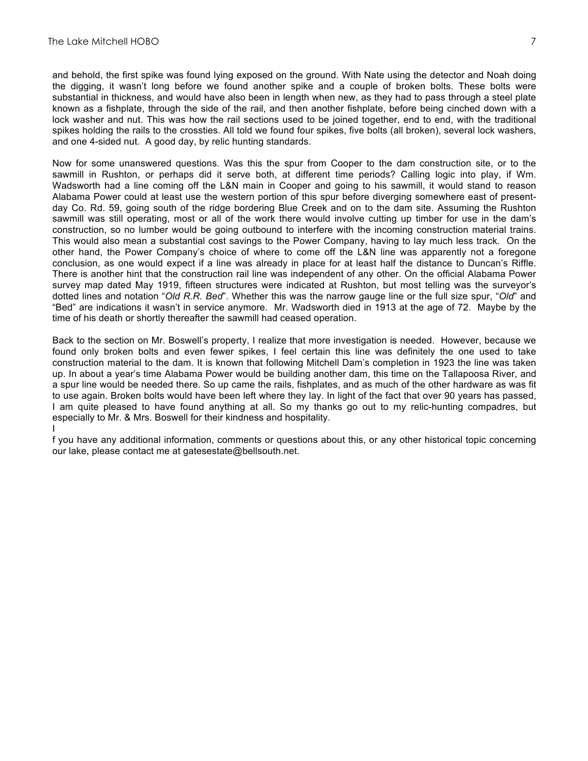and behold, the first spike was found lying exposed on the ground. With Nate using the detector and Noah doing the digging, it wasn't long before we found another spike and a couple of broken bolts. These bolts were substantial in thickness, and would have also been in length when new, as they had to pass through a steel plate known as a fishplate, through the side of the rail, and then another fishplate, before being cinched down with a lock washer and nut. This was how the rail sections used to be joined together, end to end, with the traditional spikes holding the rails to the crossties. All told we found four spikes, five bolts (all broken), several lock washers, and one 4-sided nut. A good day, by relic hunting standards.

Now for some unanswered questions. Was this the spur from Cooper to the dam construction site, or to the sawmill in Rushton, or perhaps did it serve both, at different time periods? Calling logic into play, if Wm. Wadsworth had a line coming off the L&N main in Cooper and going to his sawmill, it would stand to reason Alabama Power could at least use the western portion of this spur before diverging somewhere east of presentday Co. Rd. 59, going south of the ridge bordering Blue Creek and on to the dam site. Assuming the Rushton sawmill was still operating, most or all of the work there would involve cutting up timber for use in the dam's construction, so no lumber would be going outbound to interfere with the incoming construction material trains. This would also mean a substantial cost savings to the Power Company, having to lay much less track. On the other hand, the Power Company's choice of where to come off the L&N line was apparently not a foregone conclusion, as one would expect if a line was already in place for at least half the distance to Duncan's Riffle. There is another hint that the construction rail line was independent of any other. On the official Alabama Power survey map dated May 1919, fifteen structures were indicated at Rushton, but most telling was the surveyor's dotted lines and notation "*Old R.R. Bed*". Whether this was the narrow gauge line or the full size spur, "*Old*" and "Bed" are indications it wasn't in service anymore. Mr. Wadsworth died in 1913 at the age of 72. Maybe by the time of his death or shortly thereafter the sawmill had ceased operation.

Back to the section on Mr. Boswell's property, I realize that more investigation is needed. However, because we found only broken bolts and even fewer spikes, I feel certain this line was definitely the one used to take construction material to the dam. It is known that following Mitchell Dam's completion in 1923 the line was taken up. In about a year's time Alabama Power would be building another dam, this time on the Tallapoosa River, and a spur line would be needed there. So up came the rails, fishplates, and as much of the other hardware as was fit to use again. Broken bolts would have been left where they lay. In light of the fact that over 90 years has passed, I am quite pleased to have found anything at all. So my thanks go out to my relic-hunting compadres, but especially to Mr. & Mrs. Boswell for their kindness and hospitality. I

f you have any additional information, comments or questions about this, or any other historical topic concerning our lake, please contact me at gatesestate@bellsouth.net.